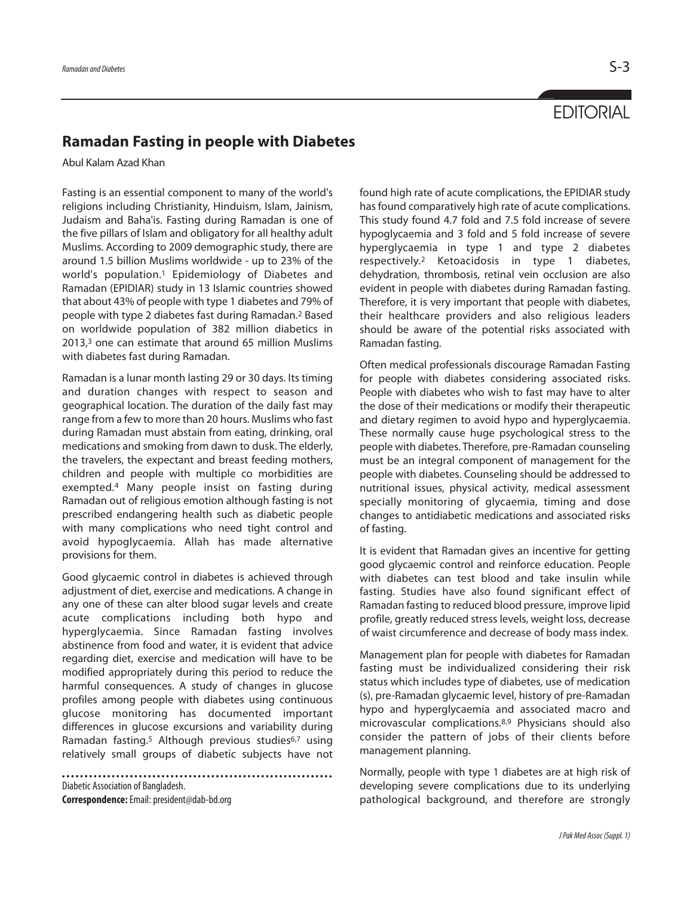## **Ramadan Fasting in people with Diabetes**

Abul Kalam Azad Khan

Fasting is an essential component to many of the world's religions including Christianity, Hinduism, Islam, Jainism, Judaism and Baha'is. Fasting during Ramadan is one of the five pillars of Islam and obligatory for all healthy adult Muslims. According to 2009 demographic study, there are around 1.5 billion Muslims worldwide - up to 23% of the world's population. <sup>1</sup> Epidemiology of Diabetes and Ramadan (EPIDIAR) study in 13 Islamic countries showed that about 43% of people with type 1 diabetes and 79% of people with type 2 diabetes fast during Ramadan. 2 Based on worldwide population of 382 million diabetics in 2013, <sup>3</sup> one can estimate that around 65 million Muslims with diabetes fast during Ramadan.

Ramadan is a lunar month lasting 29 or 30 days. Its timing and duration changes with respect to season and geographical location. The duration of the daily fast may range from a few to more than 20 hours. Muslims who fast during Ramadan must abstain from eating, drinking, oral medications and smoking from dawn to dusk. The elderly, the travelers, the expectant and breast feeding mothers, children and people with multiple co morbidities are exempted. <sup>4</sup> Many people insist on fasting during Ramadan out of religious emotion although fasting is not prescribed endangering health such as diabetic people with many complications who need tight control and avoid hypoglycaemia. Allah has made alternative provisions for them.

Good glycaemic control in diabetes is achieved through adjustment of diet, exercise and medications. A change in any one of these can alter blood sugar levels and create acute complications including both hypo and hyperglycaemia. Since Ramadan fasting involves abstinence from food and water, it is evident that advice regarding diet, exercise and medication will have to be modified appropriately during this period to reduce the harmful consequences. A study of changes in glucose profiles among people with diabetes using continuous glucose monitoring has documented important differences in glucose excursions and variability during Ramadan fasting.<sup>5</sup> Although previous studies<sup>6,7</sup> using relatively small groups of diabetic subjects have not

Diabetic Association of Bangladesh.

**Correspondence:**Email:president@dab-bd.org

found high rate of acute complications, the EPIDIAR study has found comparatively high rate of acute complications. This study found 4.7 fold and 7.5 fold increase of severe hypoglycaemia and 3 fold and 5 fold increase of severe hyperglycaemia in type 1 and type 2 diabetes respectively. <sup>2</sup> Ketoacidosis in type 1 diabetes, dehydration, thrombosis, retinal vein occlusion are also evident in people with diabetes during Ramadan fasting. Therefore, it is very important that people with diabetes, their healthcare providers and also religious leaders should be aware of the potential risks associated with Ramadan fasting.

Often medical professionals discourage Ramadan Fasting for people with diabetes considering associated risks. People with diabetes who wish to fast may have to alter the dose of their medications or modify their therapeutic and dietary regimen to avoid hypo and hyperglycaemia. These normally cause huge psychological stress to the people with diabetes. Therefore, pre-Ramadan counseling must be an integral component of management for the people with diabetes. Counseling should be addressed to nutritional issues, physical activity, medical assessment specially monitoring of glycaemia, timing and dose changes to antidiabetic medications and associated risks of fasting.

It is evident that Ramadan gives an incentive for getting good glycaemic control and reinforce education. People with diabetes can test blood and take insulin while fasting. Studies have also found significant effect of Ramadan fasting to reduced blood pressure, improve lipid profile, greatly reduced stress levels, weight loss, decrease of waist circumference and decrease of body mass index.

Management plan for people with diabetes for Ramadan fasting must be individualized considering their risk status which includes type of diabetes, use of medication (s), pre-Ramadan glycaemic level, history of pre-Ramadan hypo and hyperglycaemia and associated macro and microvascular complications. 8,9 Physicians should also consider the pattern of jobs of their clients before management planning.

Normally, people with type 1 diabetes are at high risk of developing severe complications due to its underlying pathological background, and therefore are strongly